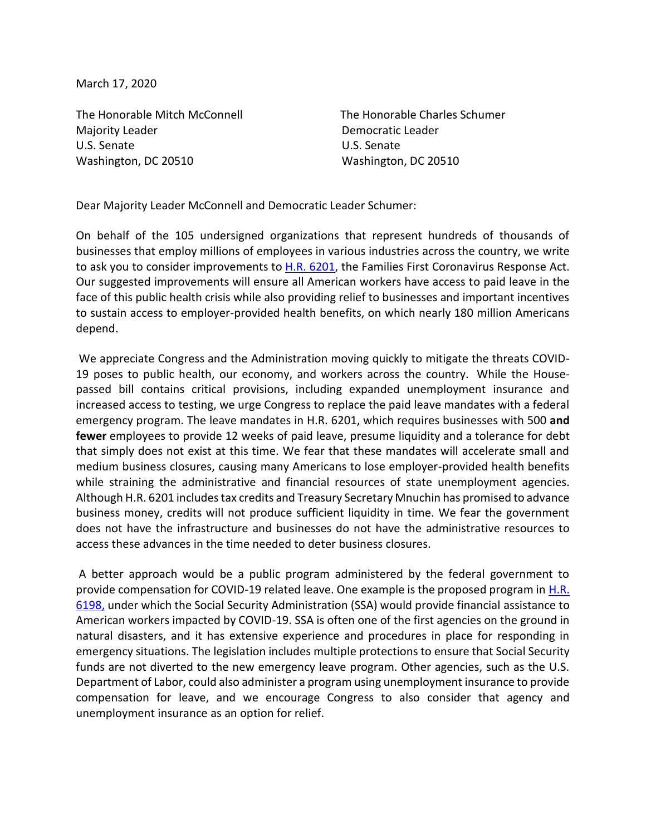March 17, 2020

The Honorable Mitch McConnell The Honorable Charles Schumer Majority Leader **Democratic Leader Democratic Leader** U.S. Senate U.S. Senate Washington, DC 20510 Washington, DC 20510

Dear Majority Leader McConnell and Democratic Leader Schumer:

On behalf of the 105 undersigned organizations that represent hundreds of thousands of businesses that employ millions of employees in various industries across the country, we write to ask you to consider improvements to **H.R. 6201**, the Families First Coronavirus Response Act. Our suggested improvements will ensure all American workers have access to paid leave in the face of this public health crisis while also providing relief to businesses and important incentives to sustain access to employer-provided health benefits, on which nearly 180 million Americans depend.

We appreciate Congress and the Administration moving quickly to mitigate the threats COVID-19 poses to public health, our economy, and workers across the country. While the Housepassed bill contains critical provisions, including expanded unemployment insurance and increased access to testing, we urge Congress to replace the paid leave mandates with a federal emergency program. The leave mandates in H.R. 6201, which requires businesses with 500 **and fewer** employees to provide 12 weeks of paid leave, presume liquidity and a tolerance for debt that simply does not exist at this time. We fear that these mandates will accelerate small and medium business closures, causing many Americans to lose employer-provided health benefits while straining the administrative and financial resources of state unemployment agencies. Although H.R. 6201 includes tax credits and Treasury Secretary Mnuchin has promised to advance business money, credits will not produce sufficient liquidity in time. We fear the government does not have the infrastructure and businesses do not have the administrative resources to access these advances in the time needed to deter business closures.

A better approach would be a public program administered by the federal government to provide compensation for COVID-19 related leave. One example is the proposed program in [H.R.](https://www.congress.gov/bill/116th-congress/house-bill/6198?q=%7B%22search%22%3A%5B%22HR+6198%22%5D%7D&s=1&r=1)  [6198,](https://www.congress.gov/bill/116th-congress/house-bill/6198?q=%7B%22search%22%3A%5B%22HR+6198%22%5D%7D&s=1&r=1) under which the Social Security Administration (SSA) would provide financial assistance to American workers impacted by COVID-19. SSA is often one of the first agencies on the ground in natural disasters, and it has extensive experience and procedures in place for responding in emergency situations. The legislation includes multiple protections to ensure that Social Security funds are not diverted to the new emergency leave program. Other agencies, such as the U.S. Department of Labor, could also administer a program using unemployment insurance to provide compensation for leave, and we encourage Congress to also consider that agency and unemployment insurance as an option for relief.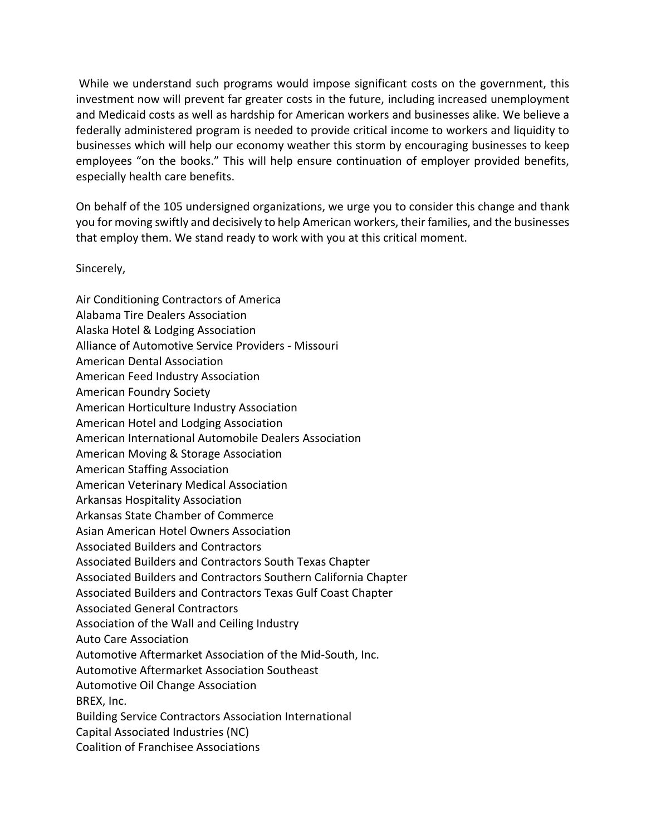While we understand such programs would impose significant costs on the government, this investment now will prevent far greater costs in the future, including increased unemployment and Medicaid costs as well as hardship for American workers and businesses alike. We believe a federally administered program is needed to provide critical income to workers and liquidity to businesses which will help our economy weather this storm by encouraging businesses to keep employees "on the books." This will help ensure continuation of employer provided benefits, especially health care benefits.

On behalf of the 105 undersigned organizations, we urge you to consider this change and thank you for moving swiftly and decisively to help American workers, their families, and the businesses that employ them. We stand ready to work with you at this critical moment.

Sincerely,

Air Conditioning Contractors of America Alabama Tire Dealers Association Alaska Hotel & Lodging Association Alliance of Automotive Service Providers - Missouri American Dental Association American Feed Industry Association American Foundry Society American Horticulture Industry Association American Hotel and Lodging Association American International Automobile Dealers Association American Moving & Storage Association American Staffing Association American Veterinary Medical Association Arkansas Hospitality Association Arkansas State Chamber of Commerce Asian American Hotel Owners Association Associated Builders and Contractors Associated Builders and Contractors South Texas Chapter Associated Builders and Contractors Southern California Chapter Associated Builders and Contractors Texas Gulf Coast Chapter Associated General Contractors Association of the Wall and Ceiling Industry Auto Care Association Automotive Aftermarket Association of the Mid-South, Inc. Automotive Aftermarket Association Southeast Automotive Oil Change Association BREX, Inc. Building Service Contractors Association International Capital Associated Industries (NC) Coalition of Franchisee Associations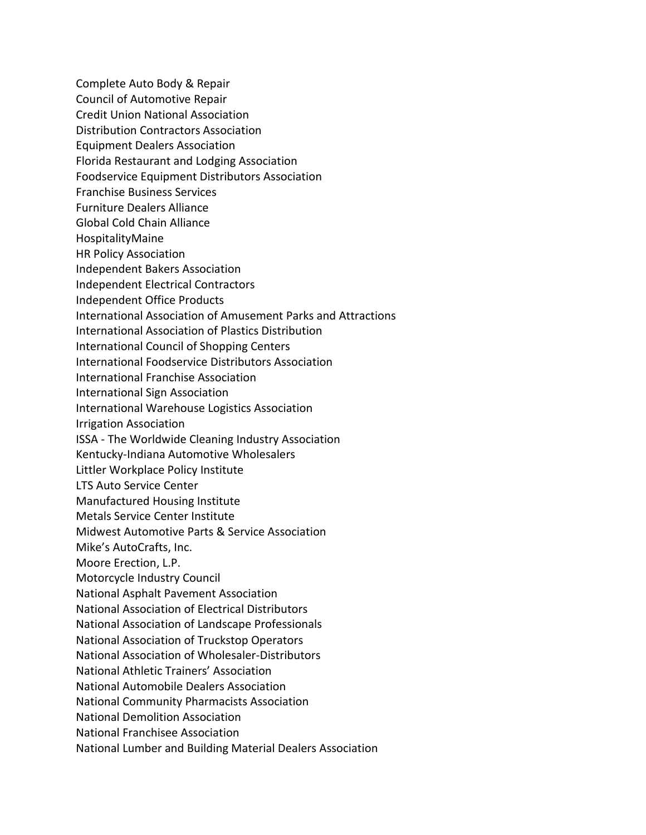Complete Auto Body & Repair Council of Automotive Repair Credit Union National Association Distribution Contractors Association Equipment Dealers Association Florida Restaurant and Lodging Association Foodservice Equipment Distributors Association Franchise Business Services Furniture Dealers Alliance Global Cold Chain Alliance HospitalityMaine HR Policy Association Independent Bakers Association Independent Electrical Contractors Independent Office Products International Association of Amusement Parks and Attractions International Association of Plastics Distribution International Council of Shopping Centers International Foodservice Distributors Association International Franchise Association International Sign Association International Warehouse Logistics Association Irrigation Association ISSA - The Worldwide Cleaning Industry Association Kentucky-Indiana Automotive Wholesalers Littler Workplace Policy Institute LTS Auto Service Center Manufactured Housing Institute Metals Service Center Institute Midwest Automotive Parts & Service Association Mike's AutoCrafts, Inc. Moore Erection, L.P. Motorcycle Industry Council National Asphalt Pavement Association National Association of Electrical Distributors National Association of Landscape Professionals National Association of Truckstop Operators National Association of Wholesaler-Distributors National Athletic Trainers' Association National Automobile Dealers Association National Community Pharmacists Association National Demolition Association National Franchisee Association

National Lumber and Building Material Dealers Association